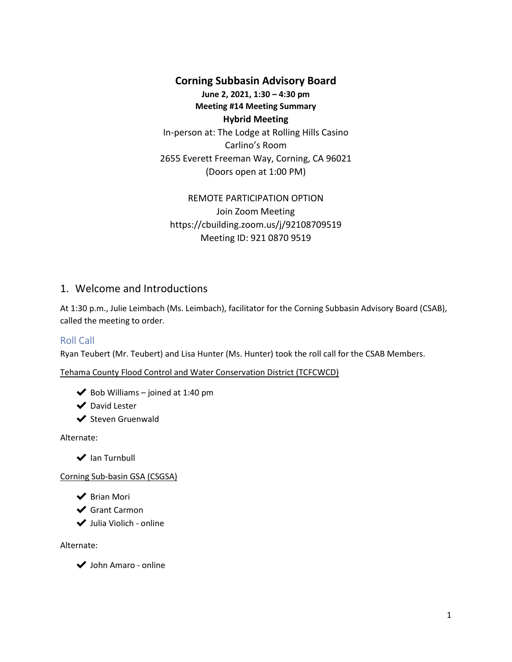## **Corning Subbasin Advisory Board**

**June 2, 2021, 1:30 – 4:30 pm Meeting #14 Meeting Summary Hybrid Meeting** In-person at: The Lodge at Rolling Hills Casino

Carlino's Room 2655 Everett Freeman Way, Corning, CA 96021 (Doors open at 1:00 PM)

REMOTE PARTICIPATION OPTION Join Zoom Meeting https://cbuilding.zoom.us/j/92108709519 Meeting ID: 921 0870 9519

# 1. Welcome and Introductions

At 1:30 p.m., Julie Leimbach (Ms. Leimbach), facilitator for the Corning Subbasin Advisory Board (CSAB), called the meeting to order.

## Roll Call

Ryan Teubert (Mr. Teubert) and Lisa Hunter (Ms. Hunter) took the roll call for the CSAB Members.

Tehama County Flood Control and Water Conservation District (TCFCWCD)

 $\blacktriangleright$  Bob Williams – joined at 1:40 pm

◆ David Lester

**◆** Steven Gruenwald

Alternate:

**◆** Ian Turnbull

Corning Sub-basin GSA (CSGSA)

- ✔ Brian Mori
- ◆ Grant Carmon
- ✔ Julia Violich online

Alternate:

✔ John Amaro - online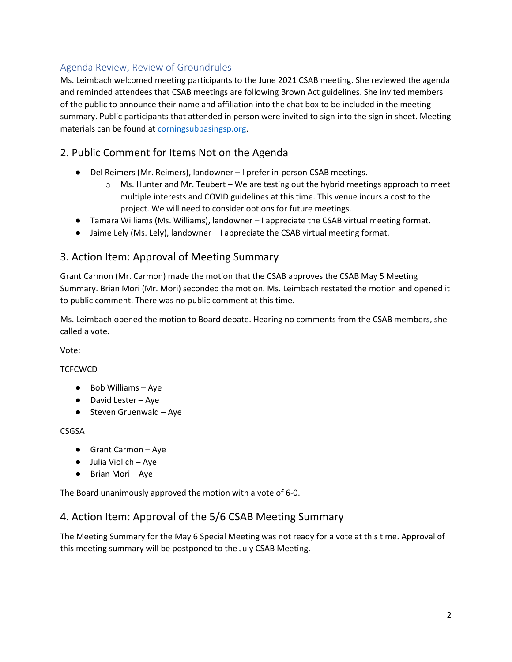# Agenda Review, Review of Groundrules

Ms. Leimbach welcomed meeting participants to the June 2021 CSAB meeting. She reviewed the agenda and reminded attendees that CSAB meetings are following Brown Act guidelines. She invited members of the public to announce their name and affiliation into the chat box to be included in the meeting summary. Public participants that attended in person were invited to sign into the sign in sheet. Meeting materials can be found a[t corningsubbasingsp.org.](https://www.corningsubbasingsp.org/csab-meetings)

# 2. Public Comment for Items Not on the Agenda

- Del Reimers (Mr. Reimers), landowner I prefer in-person CSAB meetings.
	- $\circ$  Ms. Hunter and Mr. Teubert We are testing out the hybrid meetings approach to meet multiple interests and COVID guidelines at this time. This venue incurs a cost to the project. We will need to consider options for future meetings.
- Tamara Williams (Ms. Williams), landowner I appreciate the CSAB virtual meeting format.
- Jaime Lely (Ms. Lely), landowner I appreciate the CSAB virtual meeting format.

# 3. Action Item: Approval of Meeting Summary

Grant Carmon (Mr. Carmon) made the motion that the CSAB approves the CSAB May 5 Meeting Summary. Brian Mori (Mr. Mori) seconded the motion. Ms. Leimbach restated the motion and opened it to public comment. There was no public comment at this time.

Ms. Leimbach opened the motion to Board debate. Hearing no comments from the CSAB members, she called a vote.

Vote:

### **TCFCWCD**

- Bob Williams Aye
- David Lester Aye
- Steven Gruenwald Aye

### **CSGSA**

- Grant Carmon Aye
- Julia Violich Aye
- Brian Mori Aye

The Board unanimously approved the motion with a vote of 6-0.

## 4. Action Item: Approval of the 5/6 CSAB Meeting Summary

The Meeting Summary for the May 6 Special Meeting was not ready for a vote at this time. Approval of this meeting summary will be postponed to the July CSAB Meeting.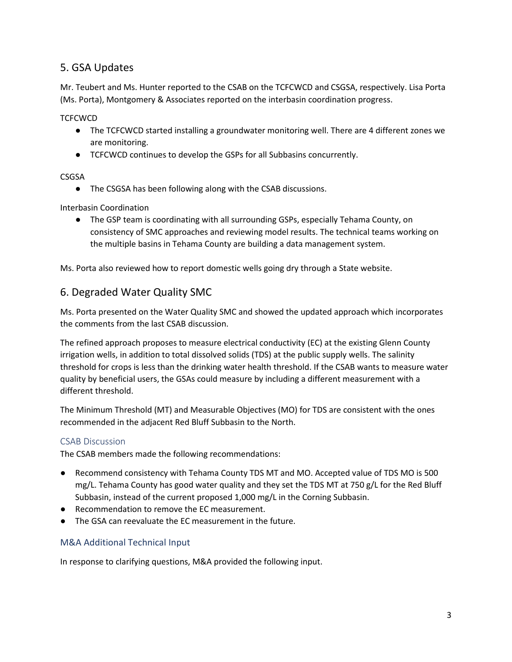# 5. GSA Updates

Mr. Teubert and Ms. Hunter reported to the CSAB on the TCFCWCD and CSGSA, respectively. Lisa Porta (Ms. Porta), Montgomery & Associates reported on the interbasin coordination progress.

**TCFCWCD** 

- The TCFCWCD started installing a groundwater monitoring well. There are 4 different zones we are monitoring.
- TCFCWCD continues to develop the GSPs for all Subbasins concurrently.

#### CSGSA

● The CSGSA has been following along with the CSAB discussions.

Interbasin Coordination

● The GSP team is coordinating with all surrounding GSPs, especially Tehama County, on consistency of SMC approaches and reviewing model results. The technical teams working on the multiple basins in Tehama County are building a data management system.

Ms. Porta also reviewed how to report domestic wells going dry through a State website.

## 6. Degraded Water Quality SMC

Ms. Porta presented on the Water Quality SMC and showed the updated approach which incorporates the comments from the last CSAB discussion.

The refined approach proposes to measure electrical conductivity (EC) at the existing Glenn County irrigation wells, in addition to total dissolved solids (TDS) at the public supply wells. The salinity threshold for crops is less than the drinking water health threshold. If the CSAB wants to measure water quality by beneficial users, the GSAs could measure by including a different measurement with a different threshold.

The Minimum Threshold (MT) and Measurable Objectives (MO) for TDS are consistent with the ones recommended in the adjacent Red Bluff Subbasin to the North.

### CSAB Discussion

The CSAB members made the following recommendations:

- Recommend consistency with Tehama County TDS MT and MO. Accepted value of TDS MO is 500 mg/L. Tehama County has good water quality and they set the TDS MT at 750 g/L for the Red Bluff Subbasin, instead of the current proposed 1,000 mg/L in the Corning Subbasin.
- Recommendation to remove the EC measurement.
- The GSA can reevaluate the EC measurement in the future.

## M&A Additional Technical Input

In response to clarifying questions, M&A provided the following input.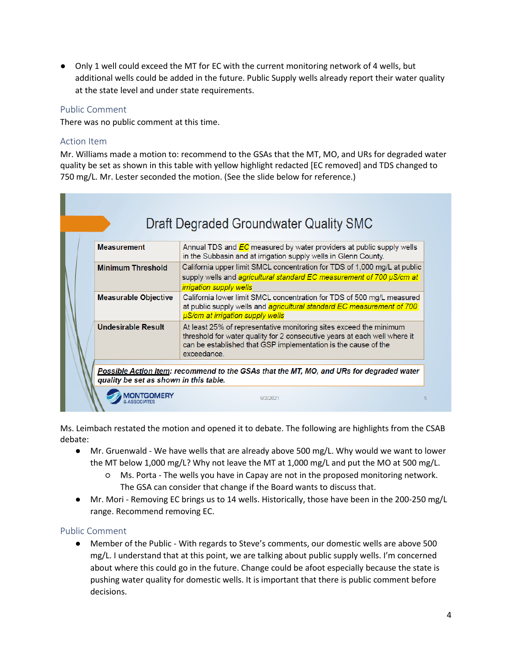● Only 1 well could exceed the MT for EC with the current monitoring network of 4 wells, but additional wells could be added in the future. Public Supply wells already report their water quality at the state level and under state requirements.

### Public Comment

There was no public comment at this time.

#### Action Item

Mr. Williams made a motion to: recommend to the GSAs that the MT, MO, and URs for degraded water quality be set as shown in this table with yellow highlight redacted [EC removed] and TDS changed to 750 mg/L. Mr. Lester seconded the motion. (See the slide below for reference.)

| <b>Measurement</b>          | Annual TDS and EC measured by water providers at public supply wells<br>in the Subbasin and at irrigation supply wells in Glenn County.                                                                                          |
|-----------------------------|----------------------------------------------------------------------------------------------------------------------------------------------------------------------------------------------------------------------------------|
| <b>Minimum Threshold</b>    | California upper limit SMCL concentration for TDS of 1,000 mg/L at public<br>supply wells and agricultural standard EC measurement of 700 µS/cm at<br><i>irrigation supply wells</i>                                             |
| <b>Measurable Objective</b> | California lower limit SMCL concentration for TDS of 500 mg/L measured<br>at public supply wells and <i>agricultural standard EC measurement of 700</i><br><b>µS/cm at irrigation supply wells</b>                               |
| <b>Undesirable Result</b>   | At least 25% of representative monitoring sites exceed the minimum<br>threshold for water quality for 2 consecutive years at each well where it<br>can be established that GSP implementation is the cause of the<br>exceedance. |

Ms. Leimbach restated the motion and opened it to debate. The following are highlights from the CSAB debate:

- Mr. Gruenwald We have wells that are already above 500 mg/L. Why would we want to lower the MT below 1,000 mg/L? Why not leave the MT at 1,000 mg/L and put the MO at 500 mg/L.
	- Ms. Porta The wells you have in Capay are not in the proposed monitoring network. The GSA can consider that change if the Board wants to discuss that.
- Mr. Mori Removing EC brings us to 14 wells. Historically, those have been in the 200-250 mg/L range. Recommend removing EC.

### Public Comment

● Member of the Public - With regards to Steve's comments, our domestic wells are above 500 mg/L. I understand that at this point, we are talking about public supply wells. I'm concerned about where this could go in the future. Change could be afoot especially because the state is pushing water quality for domestic wells. It is important that there is public comment before decisions.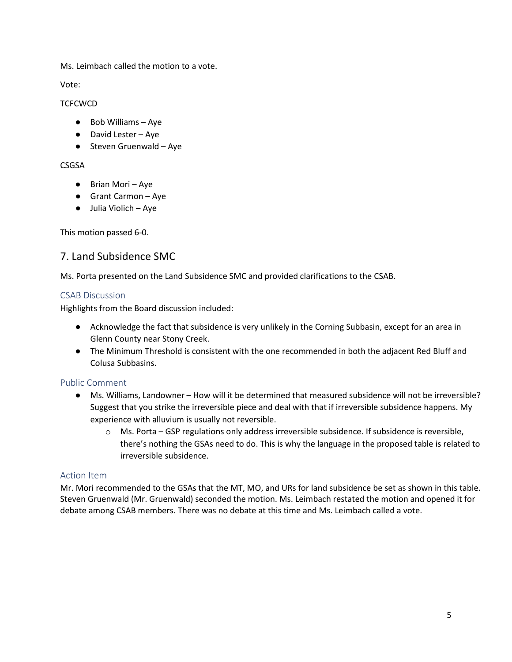Ms. Leimbach called the motion to a vote.

Vote:

#### **TCFCWCD**

- Bob Williams Aye
- David Lester Aye
- Steven Gruenwald Aye

### CSGSA

- Brian Mori Aye
- Grant Carmon Aye
- Julia Violich Aye

This motion passed 6-0.

## 7. Land Subsidence SMC

Ms. Porta presented on the Land Subsidence SMC and provided clarifications to the CSAB.

### CSAB Discussion

Highlights from the Board discussion included:

- Acknowledge the fact that subsidence is very unlikely in the Corning Subbasin, except for an area in Glenn County near Stony Creek.
- The Minimum Threshold is consistent with the one recommended in both the adjacent Red Bluff and Colusa Subbasins.

### Public Comment

- Ms. Williams, Landowner How will it be determined that measured subsidence will not be irreversible? Suggest that you strike the irreversible piece and deal with that if irreversible subsidence happens. My experience with alluvium is usually not reversible.
	- o Ms. Porta GSP regulations only address irreversible subsidence. If subsidence is reversible, there's nothing the GSAs need to do. This is why the language in the proposed table is related to irreversible subsidence.

### Action Item

Mr. Mori recommended to the GSAs that the MT, MO, and URs for land subsidence be set as shown in this table. Steven Gruenwald (Mr. Gruenwald) seconded the motion. Ms. Leimbach restated the motion and opened it for debate among CSAB members. There was no debate at this time and Ms. Leimbach called a vote.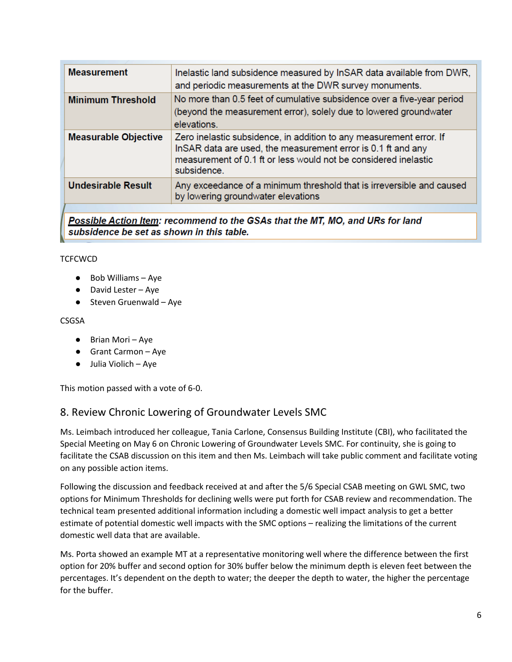| <b>Measurement</b>          | Inelastic land subsidence measured by InSAR data available from DWR,<br>and periodic measurements at the DWR survey monuments.                                                                                        |
|-----------------------------|-----------------------------------------------------------------------------------------------------------------------------------------------------------------------------------------------------------------------|
| <b>Minimum Threshold</b>    | No more than 0.5 feet of cumulative subsidence over a five-year period<br>(beyond the measurement error), solely due to lowered groundwater<br>elevations.                                                            |
| <b>Measurable Objective</b> | Zero inelastic subsidence, in addition to any measurement error. If<br>InSAR data are used, the measurement error is 0.1 ft and any<br>measurement of 0.1 ft or less would not be considered inelastic<br>subsidence. |
| <b>Undesirable Result</b>   | Any exceedance of a minimum threshold that is irreversible and caused<br>by lowering groundwater elevations                                                                                                           |
|                             |                                                                                                                                                                                                                       |

Possible Action Item: recommend to the GSAs that the MT, MO, and URs for land subsidence be set as shown in this table.

#### **TCFCWCD**

- Bob Williams Aye
- David Lester Aye
- Steven Gruenwald Aye

#### CSGSA

- Brian Mori Aye
- Grant Carmon Aye
- Julia Violich Aye

This motion passed with a vote of 6-0.

## 8. Review Chronic Lowering of Groundwater Levels SMC

Ms. Leimbach introduced her colleague, Tania Carlone, Consensus Building Institute (CBI), who facilitated the Special Meeting on May 6 on Chronic Lowering of Groundwater Levels SMC. For continuity, she is going to facilitate the CSAB discussion on this item and then Ms. Leimbach will take public comment and facilitate voting on any possible action items.

Following the discussion and feedback received at and after the 5/6 Special CSAB meeting on GWL SMC, two options for Minimum Thresholds for declining wells were put forth for CSAB review and recommendation. The technical team presented additional information including a domestic well impact analysis to get a better estimate of potential domestic well impacts with the SMC options – realizing the limitations of the current domestic well data that are available.

Ms. Porta showed an example MT at a representative monitoring well where the difference between the first option for 20% buffer and second option for 30% buffer below the minimum depth is eleven feet between the percentages. It's dependent on the depth to water; the deeper the depth to water, the higher the percentage for the buffer.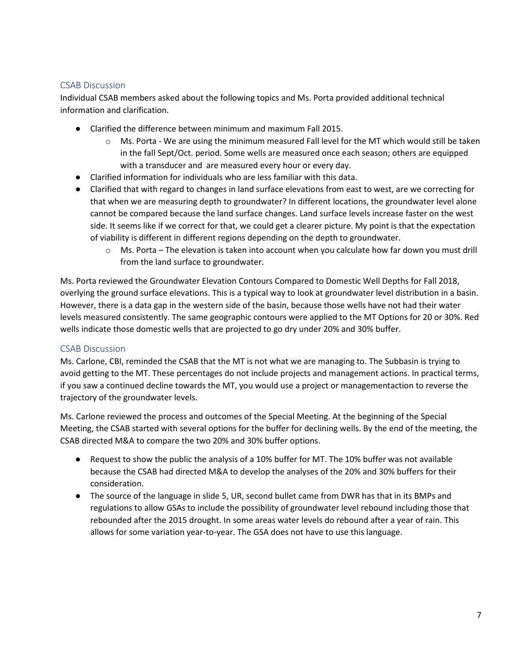### CSAB Discussion

Individual CSAB members asked about the following topics and Ms. Porta provided additional technical information and clarification.

- Clarified the difference between minimum and maximum Fall 2015.
	- o Ms. Porta We are using the minimum measured Fall level for the MT which would still be taken in the fall Sept/Oct. period. Some wells are measured once each season; others are equipped with a transducer and are measured every hour or every day.
- Clarified information for individuals who are less familiar with this data.
- Clarified that with regard to changes in land surface elevations from east to west, are we correcting for that when we are measuring depth to groundwater? In different locations, the groundwater level alone cannot be compared because the land surface changes. Land surface levels increase faster on the west side. It seems like if we correct for that, we could get a clearer picture. My point is that the expectation of viability is different in different regions depending on the depth to groundwater.
	- $\circ$  Ms. Porta The elevation is taken into account when you calculate how far down you must drill from the land surface to groundwater.

Ms. Porta reviewed the Groundwater Elevation Contours Compared to Domestic Well Depths for Fall 2018, overlying the ground surface elevations. This is a typical way to look at groundwater level distribution in a basin. However, there is a data gap in the western side of the basin, because those wells have not had their water levels measured consistently. The same geographic contours were applied to the MT Options for 20 or 30%. Red wells indicate those domestic wells that are projected to go dry under 20% and 30% buffer.

#### CSAB Discussion

Ms. Carlone, CBI, reminded the CSAB that the MT is not what we are managing to. The Subbasin is trying to avoid getting to the MT. These percentages do not include projects and management actions. In practical terms, if you saw a continued decline towards the MT, you would use a project or managementaction to reverse the trajectory of the groundwater levels.

Ms. Carlone reviewed the process and outcomes of the Special Meeting. At the beginning of the Special Meeting, the CSAB started with several options for the buffer for declining wells. By the end of the meeting, the CSAB directed M&A to compare the two 20% and 30% buffer options.

- Request to show the public the analysis of a 10% buffer for MT. The 10% buffer was not available because the CSAB had directed M&A to develop the analyses of the 20% and 30% buffers for their consideration.
- The source of the language in slide 5, UR, second bullet came from DWR has that in its BMPs and regulations to allow GSAs to include the possibility of groundwater level rebound including those that rebounded after the 2015 drought. In some areas water levels do rebound after a year of rain. This allows for some variation year-to-year. The GSA does not have to use this language.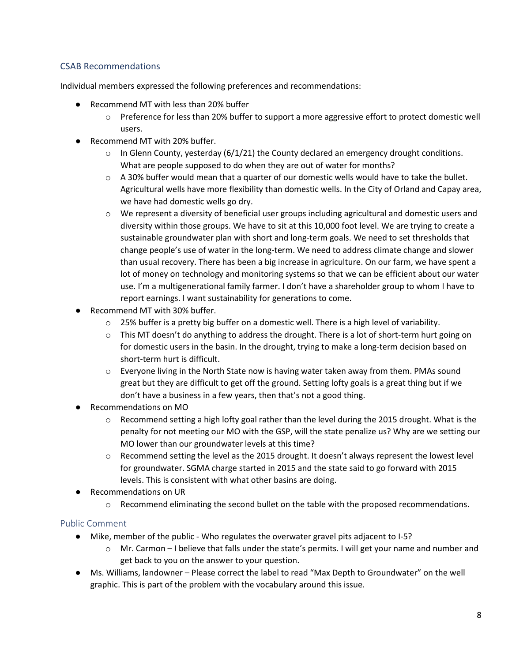## CSAB Recommendations

Individual members expressed the following preferences and recommendations:

- Recommend MT with less than 20% buffer
	- $\circ$  Preference for less than 20% buffer to support a more aggressive effort to protect domestic well users.
- Recommend MT with 20% buffer.
	- $\circ$  In Glenn County, yesterday (6/1/21) the County declared an emergency drought conditions. What are people supposed to do when they are out of water for months?
	- $\circ$  A 30% buffer would mean that a quarter of our domestic wells would have to take the bullet. Agricultural wells have more flexibility than domestic wells. In the City of Orland and Capay area, we have had domestic wells go dry.
	- $\circ$  We represent a diversity of beneficial user groups including agricultural and domestic users and diversity within those groups. We have to sit at this 10,000 foot level. We are trying to create a sustainable groundwater plan with short and long-term goals. We need to set thresholds that change people's use of water in the long-term. We need to address climate change and slower than usual recovery. There has been a big increase in agriculture. On our farm, we have spent a lot of money on technology and monitoring systems so that we can be efficient about our water use. I'm a multigenerational family farmer. I don't have a shareholder group to whom I have to report earnings. I want sustainability for generations to come.
- Recommend MT with 30% buffer.
	- $\circ$  25% buffer is a pretty big buffer on a domestic well. There is a high level of variability.
	- $\circ$  This MT doesn't do anything to address the drought. There is a lot of short-term hurt going on for domestic users in the basin. In the drought, trying to make a long-term decision based on short-term hurt is difficult.
	- o Everyone living in the North State now is having water taken away from them. PMAs sound great but they are difficult to get off the ground. Setting lofty goals is a great thing but if we don't have a business in a few years, then that's not a good thing.
- Recommendations on MO
	- $\circ$  Recommend setting a high lofty goal rather than the level during the 2015 drought. What is the penalty for not meeting our MO with the GSP, will the state penalize us? Why are we setting our MO lower than our groundwater levels at this time?
	- $\circ$  Recommend setting the level as the 2015 drought. It doesn't always represent the lowest level for groundwater. SGMA charge started in 2015 and the state said to go forward with 2015 levels. This is consistent with what other basins are doing.
- Recommendations on UR
	- $\circ$  Recommend eliminating the second bullet on the table with the proposed recommendations.

## Public Comment

- Mike, member of the public Who regulates the overwater gravel pits adjacent to I-5?
	- $\circ$  Mr. Carmon I believe that falls under the state's permits. I will get your name and number and get back to you on the answer to your question.
- Ms. Williams, landowner Please correct the label to read "Max Depth to Groundwater" on the well graphic. This is part of the problem with the vocabulary around this issue.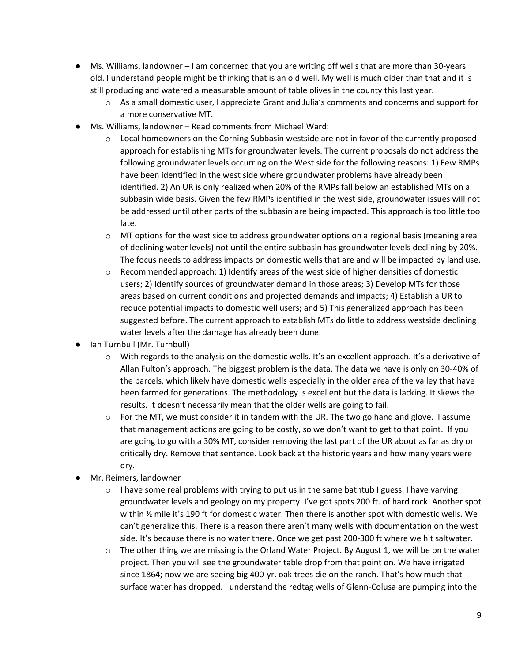- Ms. Williams, landowner I am concerned that you are writing off wells that are more than 30-years old. I understand people might be thinking that is an old well. My well is much older than that and it is still producing and watered a measurable amount of table olives in the county this last year.
	- $\circ$  As a small domestic user, I appreciate Grant and Julia's comments and concerns and support for a more conservative MT.
- Ms. Williams, landowner Read comments from Michael Ward:
	- $\circ$  Local homeowners on the Corning Subbasin westside are not in favor of the currently proposed approach for establishing MTs for groundwater levels. The current proposals do not address the following groundwater levels occurring on the West side for the following reasons: 1) Few RMPs have been identified in the west side where groundwater problems have already been identified. 2) An UR is only realized when 20% of the RMPs fall below an established MTs on a subbasin wide basis. Given the few RMPs identified in the west side, groundwater issues will not be addressed until other parts of the subbasin are being impacted. This approach is too little too late.
	- $\circ$  MT options for the west side to address groundwater options on a regional basis (meaning area of declining water levels) not until the entire subbasin has groundwater levels declining by 20%. The focus needs to address impacts on domestic wells that are and will be impacted by land use.
	- o Recommended approach: 1) Identify areas of the west side of higher densities of domestic users; 2) Identify sources of groundwater demand in those areas; 3) Develop MTs for those areas based on current conditions and projected demands and impacts; 4) Establish a UR to reduce potential impacts to domestic well users; and 5) This generalized approach has been suggested before. The current approach to establish MTs do little to address westside declining water levels after the damage has already been done.
- Ian Turnbull (Mr. Turnbull)
	- o With regards to the analysis on the domestic wells. It's an excellent approach. It's a derivative of Allan Fulton's approach. The biggest problem is the data. The data we have is only on 30-40% of the parcels, which likely have domestic wells especially in the older area of the valley that have been farmed for generations. The methodology is excellent but the data is lacking. It skews the results. It doesn't necessarily mean that the older wells are going to fail.
	- $\circ$  For the MT, we must consider it in tandem with the UR. The two go hand and glove. I assume that management actions are going to be costly, so we don't want to get to that point. If you are going to go with a 30% MT, consider removing the last part of the UR about as far as dry or critically dry. Remove that sentence. Look back at the historic years and how many years were dry.
- Mr. Reimers, landowner
	- $\circ$  I have some real problems with trying to put us in the same bathtub I guess. I have varying groundwater levels and geology on my property. I've got spots 200 ft. of hard rock. Another spot within ½ mile it's 190 ft for domestic water. Then there is another spot with domestic wells. We can't generalize this. There is a reason there aren't many wells with documentation on the west side. It's because there is no water there. Once we get past 200-300 ft where we hit saltwater.
	- o The other thing we are missing is the Orland Water Project. By August 1, we will be on the water project. Then you will see the groundwater table drop from that point on. We have irrigated since 1864; now we are seeing big 400-yr. oak trees die on the ranch. That's how much that surface water has dropped. I understand the redtag wells of Glenn-Colusa are pumping into the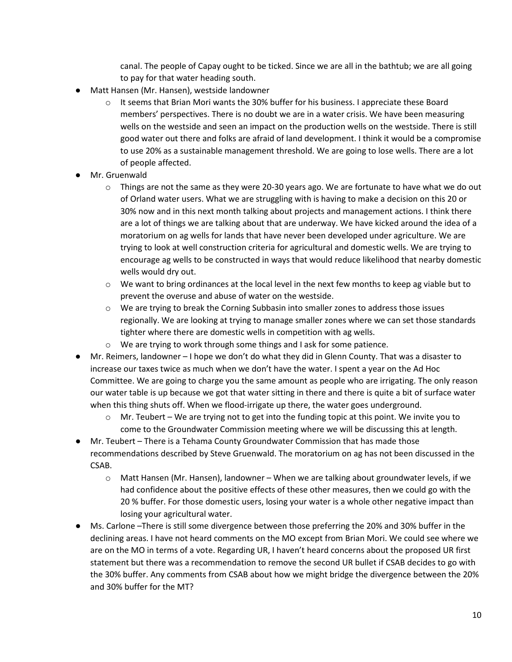canal. The people of Capay ought to be ticked. Since we are all in the bathtub; we are all going to pay for that water heading south.

- Matt Hansen (Mr. Hansen), westside landowner
	- $\circ$  It seems that Brian Mori wants the 30% buffer for his business. I appreciate these Board members' perspectives. There is no doubt we are in a water crisis. We have been measuring wells on the westside and seen an impact on the production wells on the westside. There is still good water out there and folks are afraid of land development. I think it would be a compromise to use 20% as a sustainable management threshold. We are going to lose wells. There are a lot of people affected.
- Mr. Gruenwald
	- $\circ$  Things are not the same as they were 20-30 years ago. We are fortunate to have what we do out of Orland water users. What we are struggling with is having to make a decision on this 20 or 30% now and in this next month talking about projects and management actions. I think there are a lot of things we are talking about that are underway. We have kicked around the idea of a moratorium on ag wells for lands that have never been developed under agriculture. We are trying to look at well construction criteria for agricultural and domestic wells. We are trying to encourage ag wells to be constructed in ways that would reduce likelihood that nearby domestic wells would dry out.
	- $\circ$  We want to bring ordinances at the local level in the next few months to keep ag viable but to prevent the overuse and abuse of water on the westside.
	- o We are trying to break the Corning Subbasin into smaller zones to address those issues regionally. We are looking at trying to manage smaller zones where we can set those standards tighter where there are domestic wells in competition with ag wells.
	- o We are trying to work through some things and I ask for some patience.
- Mr. Reimers, landowner I hope we don't do what they did in Glenn County. That was a disaster to increase our taxes twice as much when we don't have the water. I spent a year on the Ad Hoc Committee. We are going to charge you the same amount as people who are irrigating. The only reason our water table is up because we got that water sitting in there and there is quite a bit of surface water when this thing shuts off. When we flood-irrigate up there, the water goes underground.
	- $\circ$  Mr. Teubert We are trying not to get into the funding topic at this point. We invite you to come to the Groundwater Commission meeting where we will be discussing this at length.
- Mr. Teubert There is a Tehama County Groundwater Commission that has made those recommendations described by Steve Gruenwald. The moratorium on ag has not been discussed in the CSAB.
	- o Matt Hansen (Mr. Hansen), landowner When we are talking about groundwater levels, if we had confidence about the positive effects of these other measures, then we could go with the 20 % buffer. For those domestic users, losing your water is a whole other negative impact than losing your agricultural water.
- Ms. Carlone –There is still some divergence between those preferring the 20% and 30% buffer in the declining areas. I have not heard comments on the MO except from Brian Mori. We could see where we are on the MO in terms of a vote. Regarding UR, I haven't heard concerns about the proposed UR first statement but there was a recommendation to remove the second UR bullet if CSAB decides to go with the 30% buffer. Any comments from CSAB about how we might bridge the divergence between the 20% and 30% buffer for the MT?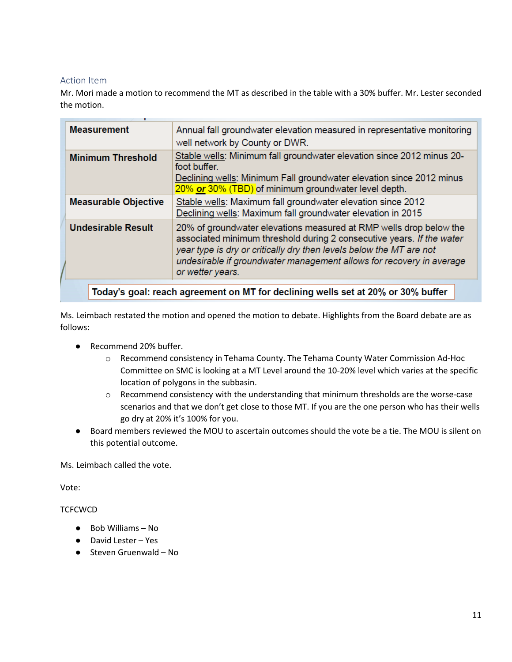### Action Item

Mr. Mori made a motion to recommend the MT as described in the table with a 30% buffer. Mr. Lester seconded the motion.

| <b>Measurement</b>          | Annual fall groundwater elevation measured in representative monitoring<br>well network by County or DWR.                                                                                                                                                                                                      |
|-----------------------------|----------------------------------------------------------------------------------------------------------------------------------------------------------------------------------------------------------------------------------------------------------------------------------------------------------------|
| <b>Minimum Threshold</b>    | Stable wells: Minimum fall groundwater elevation since 2012 minus 20-<br>foot buffer.<br>Declining wells: Minimum Fall groundwater elevation since 2012 minus<br>20% or 30% (TBD) of minimum groundwater level depth.                                                                                          |
| <b>Measurable Objective</b> | Stable wells: Maximum fall groundwater elevation since 2012<br>Declining wells: Maximum fall groundwater elevation in 2015                                                                                                                                                                                     |
| <b>Undesirable Result</b>   | 20% of groundwater elevations measured at RMP wells drop below the<br>associated minimum threshold during 2 consecutive years. If the water<br>year type is dry or critically dry then levels below the MT are not<br>undesirable if groundwater management allows for recovery in average<br>or wetter years. |
|                             | Today's goal: reach agreement on MT for declining wells set at 20% or 30% buffer                                                                                                                                                                                                                               |

Ms. Leimbach restated the motion and opened the motion to debate. Highlights from the Board debate are as follows:

- Recommend 20% buffer.
	- o Recommend consistency in Tehama County. The Tehama County Water Commission Ad-Hoc Committee on SMC is looking at a MT Level around the 10-20% level which varies at the specific location of polygons in the subbasin.
	- o Recommend consistency with the understanding that minimum thresholds are the worse-case scenarios and that we don't get close to those MT. If you are the one person who has their wells go dry at 20% it's 100% for you.
- Board members reviewed the MOU to ascertain outcomes should the vote be a tie. The MOU is silent on this potential outcome.

Ms. Leimbach called the vote.

Vote:

#### **TCFCWCD**

- Bob Williams No
- David Lester Yes
- Steven Gruenwald No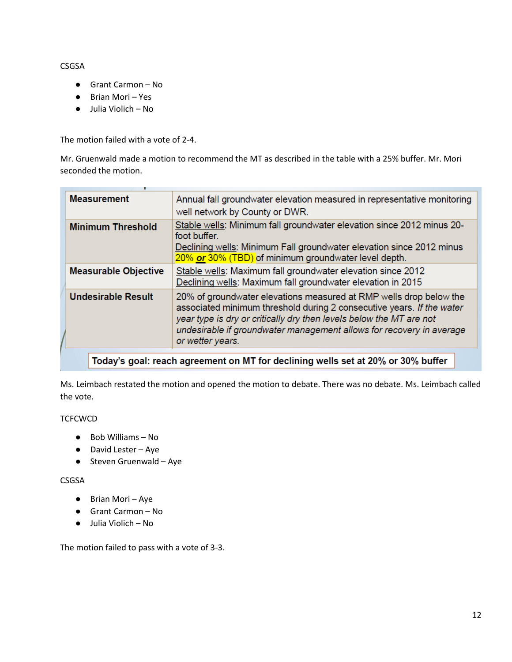CSGSA

- Grant Carmon No
- Brian Mori Yes
- Julia Violich No

The motion failed with a vote of 2-4.

Mr. Gruenwald made a motion to recommend the MT as described in the table with a 25% buffer. Mr. Mori seconded the motion.

| <b>Measurement</b>          | Annual fall groundwater elevation measured in representative monitoring<br>well network by County or DWR.                                                                                                                                                                                                      |
|-----------------------------|----------------------------------------------------------------------------------------------------------------------------------------------------------------------------------------------------------------------------------------------------------------------------------------------------------------|
| <b>Minimum Threshold</b>    | Stable wells: Minimum fall groundwater elevation since 2012 minus 20-<br>foot buffer.<br>Declining wells: Minimum Fall groundwater elevation since 2012 minus<br>20% or 30% (TBD) of minimum groundwater level depth.                                                                                          |
| <b>Measurable Objective</b> | Stable wells: Maximum fall groundwater elevation since 2012<br>Declining wells: Maximum fall groundwater elevation in 2015                                                                                                                                                                                     |
| <b>Undesirable Result</b>   | 20% of groundwater elevations measured at RMP wells drop below the<br>associated minimum threshold during 2 consecutive years. If the water<br>year type is dry or critically dry then levels below the MT are not<br>undesirable if groundwater management allows for recovery in average<br>or wetter years. |
|                             |                                                                                                                                                                                                                                                                                                                |

| Today's goal: reach agreement on MT for declining wells set at 20% or 30% buffer

Ms. Leimbach restated the motion and opened the motion to debate. There was no debate. Ms. Leimbach called the vote.

**TCFCWCD** 

- Bob Williams No
- David Lester Aye
- Steven Gruenwald Aye

### CSGSA

- Brian Mori Aye
- Grant Carmon No
- Julia Violich No

The motion failed to pass with a vote of 3-3.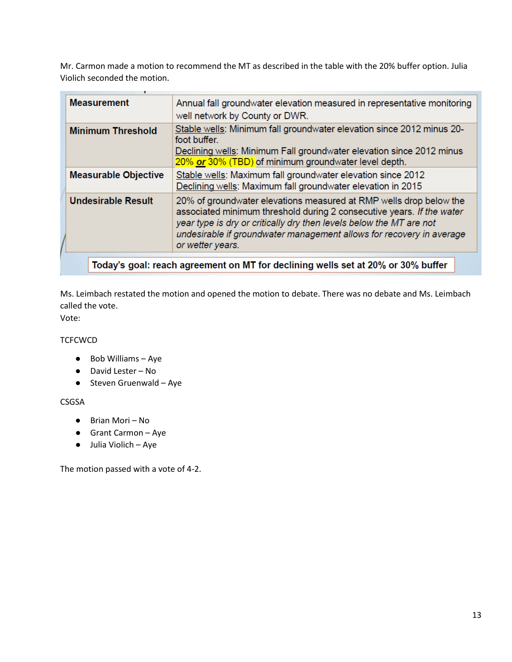Mr. Carmon made a motion to recommend the MT as described in the table with the 20% buffer option. Julia Violich seconded the motion.

| <b>Measurement</b><br>Annual fall groundwater elevation measured in representative monitoring<br>well network by County or DWR.<br>Stable wells: Minimum fall groundwater elevation since 2012 minus 20-<br><b>Minimum Threshold</b><br>foot buffer.<br>Declining wells: Minimum Fall groundwater elevation since 2012 minus<br>20% or 30% (TBD) of minimum groundwater level depth. |
|--------------------------------------------------------------------------------------------------------------------------------------------------------------------------------------------------------------------------------------------------------------------------------------------------------------------------------------------------------------------------------------|
|                                                                                                                                                                                                                                                                                                                                                                                      |
|                                                                                                                                                                                                                                                                                                                                                                                      |
| Stable wells: Maximum fall groundwater elevation since 2012<br><b>Measurable Objective</b><br>Declining wells: Maximum fall groundwater elevation in 2015                                                                                                                                                                                                                            |
| <b>Undesirable Result</b><br>20% of groundwater elevations measured at RMP wells drop below the<br>associated minimum threshold during 2 consecutive years. If the water<br>year type is dry or critically dry then levels below the MT are not<br>undesirable if groundwater management allows for recovery in average<br>or wetter years.                                          |
| Today's goal: reach agreement on MT for declining wells set at 20% or 30% buffer                                                                                                                                                                                                                                                                                                     |

Ms. Leimbach restated the motion and opened the motion to debate. There was no debate and Ms. Leimbach called the vote.

Vote:

### **TCFCWCD**

- Bob Williams Aye
- David Lester No
- $\bullet$  Steven Gruenwald Aye

### CSGSA

- Brian Mori No
- Grant Carmon Aye
- Julia Violich Aye

The motion passed with a vote of 4-2.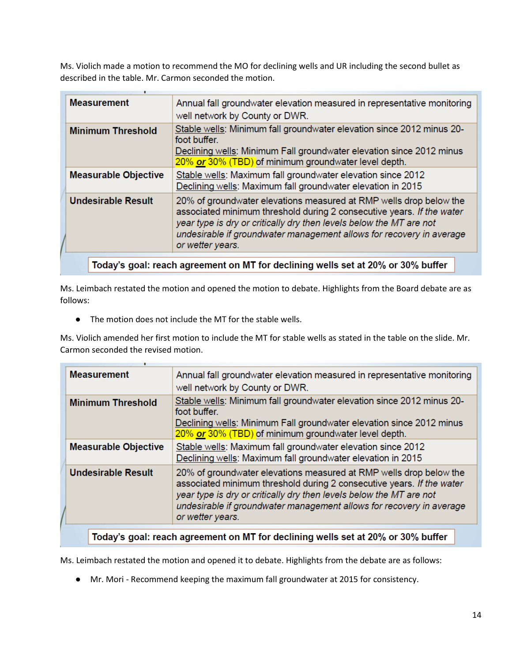Ms. Violich made a motion to recommend the MO for declining wells and UR including the second bullet as described in the table. Mr. Carmon seconded the motion.

| <b>Measurement</b>          | Annual fall groundwater elevation measured in representative monitoring<br>well network by County or DWR.                                                                                                                                                                                                      |
|-----------------------------|----------------------------------------------------------------------------------------------------------------------------------------------------------------------------------------------------------------------------------------------------------------------------------------------------------------|
| <b>Minimum Threshold</b>    | Stable wells: Minimum fall groundwater elevation since 2012 minus 20-<br>foot buffer.<br>Declining wells: Minimum Fall groundwater elevation since 2012 minus<br>20% or 30% (TBD) of minimum groundwater level depth.                                                                                          |
| <b>Measurable Objective</b> | Stable wells: Maximum fall groundwater elevation since 2012<br>Declining wells: Maximum fall groundwater elevation in 2015                                                                                                                                                                                     |
| <b>Undesirable Result</b>   | 20% of groundwater elevations measured at RMP wells drop below the<br>associated minimum threshold during 2 consecutive years. If the water<br>year type is dry or critically dry then levels below the MT are not<br>undesirable if groundwater management allows for recovery in average<br>or wetter years. |
|                             | Today's goal: reach agreement on MT for declining wells set at 20% or 30% buffer                                                                                                                                                                                                                               |

Ms. Leimbach restated the motion and opened the motion to debate. Highlights from the Board debate are as follows:

● The motion does not include the MT for the stable wells.

Ms. Violich amended her first motion to include the MT for stable wells as stated in the table on the slide. Mr. Carmon seconded the revised motion.

| <b>Measurement</b>          | Annual fall groundwater elevation measured in representative monitoring<br>well network by County or DWR.                                                                                                                                                                                                      |
|-----------------------------|----------------------------------------------------------------------------------------------------------------------------------------------------------------------------------------------------------------------------------------------------------------------------------------------------------------|
| <b>Minimum Threshold</b>    | Stable wells: Minimum fall groundwater elevation since 2012 minus 20-<br>foot buffer.<br>Declining wells: Minimum Fall groundwater elevation since 2012 minus<br>20% or 30% (TBD) of minimum groundwater level depth.                                                                                          |
| <b>Measurable Objective</b> | Stable wells: Maximum fall groundwater elevation since 2012<br>Declining wells: Maximum fall groundwater elevation in 2015                                                                                                                                                                                     |
| <b>Undesirable Result</b>   | 20% of groundwater elevations measured at RMP wells drop below the<br>associated minimum threshold during 2 consecutive years. If the water<br>year type is dry or critically dry then levels below the MT are not<br>undesirable if groundwater management allows for recovery in average<br>or wetter years. |
|                             |                                                                                                                                                                                                                                                                                                                |

Today's goal: reach agreement on MT for declining wells set at 20% or 30% buffer

Ms. Leimbach restated the motion and opened it to debate. Highlights from the debate are as follows:

● Mr. Mori - Recommend keeping the maximum fall groundwater at 2015 for consistency.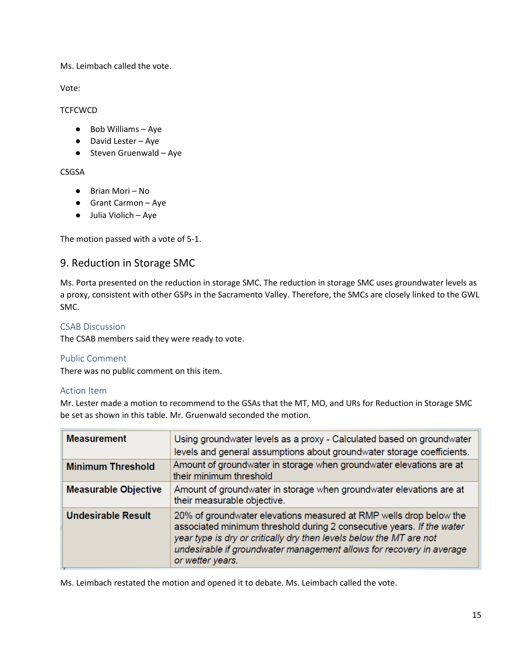Ms. Leimbach called the vote.

Vote:

### **TCFCWCD**

- Bob Williams Aye
- David Lester Aye
- Steven Gruenwald Aye

### CSGSA

- Brian Mori No
- Grant Carmon Aye
- Julia Violich Aye

The motion passed with a vote of 5-1.

## 9. Reduction in Storage SMC

Ms. Porta presented on the reduction in storage SMC. The reduction in storage SMC uses groundwater levels as a proxy, consistent with other GSPs in the Sacramento Valley. Therefore, the SMCs are closely linked to the GWL SMC.

### CSAB Discussion

The CSAB members said they were ready to vote.

### Public Comment

There was no public comment on this item.

### Action Item

Mr. Lester made a motion to recommend to the GSAs that the MT, MO, and URs for Reduction in Storage SMC be set as shown in this table. Mr. Gruenwald seconded the motion.

| <b>Measurement</b>          | Using groundwater levels as a proxy - Calculated based on groundwater<br>levels and general assumptions about groundwater storage coefficients.                                                                                                                                                                |
|-----------------------------|----------------------------------------------------------------------------------------------------------------------------------------------------------------------------------------------------------------------------------------------------------------------------------------------------------------|
| <b>Minimum Threshold</b>    | Amount of groundwater in storage when groundwater elevations are at<br>their minimum threshold                                                                                                                                                                                                                 |
| <b>Measurable Objective</b> | Amount of groundwater in storage when groundwater elevations are at<br>their measurable objective.                                                                                                                                                                                                             |
| <b>Undesirable Result</b>   | 20% of groundwater elevations measured at RMP wells drop below the<br>associated minimum threshold during 2 consecutive years. If the water<br>year type is dry or critically dry then levels below the MT are not<br>undesirable if groundwater management allows for recovery in average<br>or wetter years. |

Ms. Leimbach restated the motion and opened it to debate. Ms. Leimbach called the vote.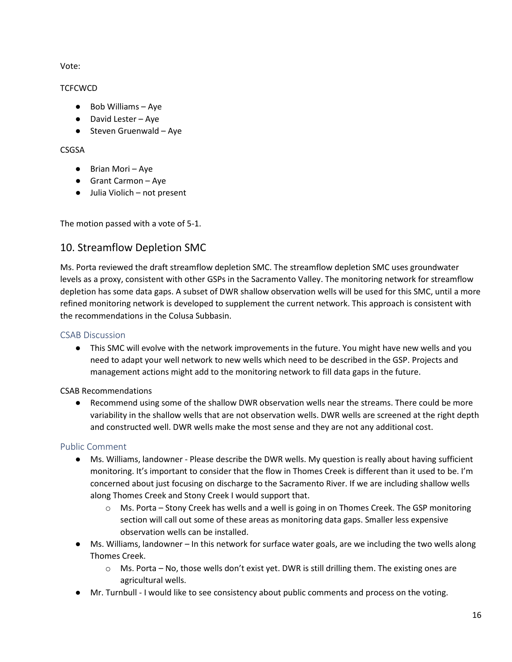Vote:

### **TCFCWCD**

- Bob Williams Aye
- David Lester Aye
- Steven Gruenwald Aye

#### CSGSA

- Brian Mori Aye
- Grant Carmon Aye
- Julia Violich not present

The motion passed with a vote of 5-1.

## 10. Streamflow Depletion SMC

Ms. Porta reviewed the draft streamflow depletion SMC. The streamflow depletion SMC uses groundwater levels as a proxy, consistent with other GSPs in the Sacramento Valley. The monitoring network for streamflow depletion has some data gaps. A subset of DWR shallow observation wells will be used for this SMC, until a more refined monitoring network is developed to supplement the current network. This approach is consistent with the recommendations in the Colusa Subbasin.

### CSAB Discussion

● This SMC will evolve with the network improvements in the future. You might have new wells and you need to adapt your well network to new wells which need to be described in the GSP. Projects and management actions might add to the monitoring network to fill data gaps in the future.

### CSAB Recommendations

● Recommend using some of the shallow DWR observation wells near the streams. There could be more variability in the shallow wells that are not observation wells. DWR wells are screened at the right depth and constructed well. DWR wells make the most sense and they are not any additional cost.

### Public Comment

- Ms. Williams, landowner Please describe the DWR wells. My question is really about having sufficient monitoring. It's important to consider that the flow in Thomes Creek is different than it used to be. I'm concerned about just focusing on discharge to the Sacramento River. If we are including shallow wells along Thomes Creek and Stony Creek I would support that.
	- $\circ$  Ms. Porta Stony Creek has wells and a well is going in on Thomes Creek. The GSP monitoring section will call out some of these areas as monitoring data gaps. Smaller less expensive observation wells can be installed.
- Ms. Williams, landowner In this network for surface water goals, are we including the two wells along Thomes Creek.
	- o Ms. Porta No, those wells don't exist yet. DWR is still drilling them. The existing ones are agricultural wells.
- Mr. Turnbull I would like to see consistency about public comments and process on the voting.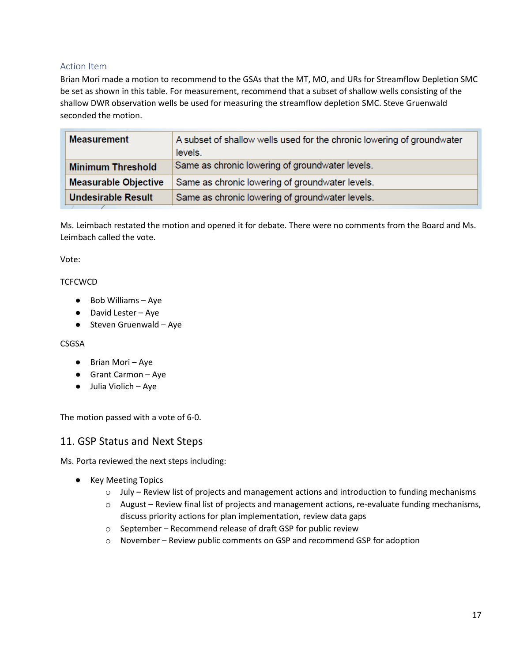### Action Item

Brian Mori made a motion to recommend to the GSAs that the MT, MO, and URs for Streamflow Depletion SMC be set as shown in this table. For measurement, recommend that a subset of shallow wells consisting of the shallow DWR observation wells be used for measuring the streamflow depletion SMC. Steve Gruenwald seconded the motion.

| <b>Measurement</b>          | A subset of shallow wells used for the chronic lowering of groundwater<br>levels. |
|-----------------------------|-----------------------------------------------------------------------------------|
| <b>Minimum Threshold</b>    | Same as chronic lowering of groundwater levels.                                   |
| <b>Measurable Objective</b> | Same as chronic lowering of groundwater levels.                                   |
| <b>Undesirable Result</b>   | Same as chronic lowering of groundwater levels.                                   |

Ms. Leimbach restated the motion and opened it for debate. There were no comments from the Board and Ms. Leimbach called the vote.

#### Vote:

#### **TCFCWCD**

- Bob Williams Aye
- David Lester Aye
- Steven Gruenwald Aye

#### CSGSA

- Brian Mori Aye
- Grant Carmon Aye
- Julia Violich Aye

The motion passed with a vote of 6-0.

## 11. GSP Status and Next Steps

Ms. Porta reviewed the next steps including:

- Key Meeting Topics
	- o July Review list of projects and management actions and introduction to funding mechanisms
	- o August Review final list of projects and management actions, re-evaluate funding mechanisms, discuss priority actions for plan implementation, review data gaps
	- o September Recommend release of draft GSP for public review
	- o November Review public comments on GSP and recommend GSP for adoption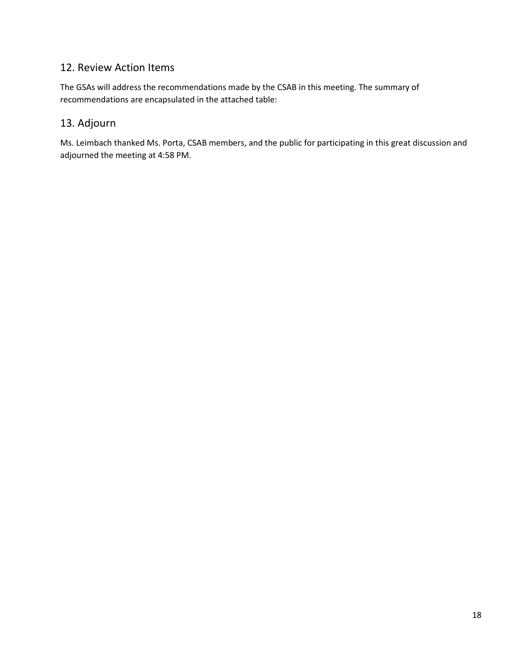# 12. Review Action Items

The GSAs will address the recommendations made by the CSAB in this meeting. The summary of recommendations are encapsulated in the attached table:

# 13. Adjourn

Ms. Leimbach thanked Ms. Porta, CSAB members, and the public for participating in this great discussion and adjourned the meeting at 4:58 PM.